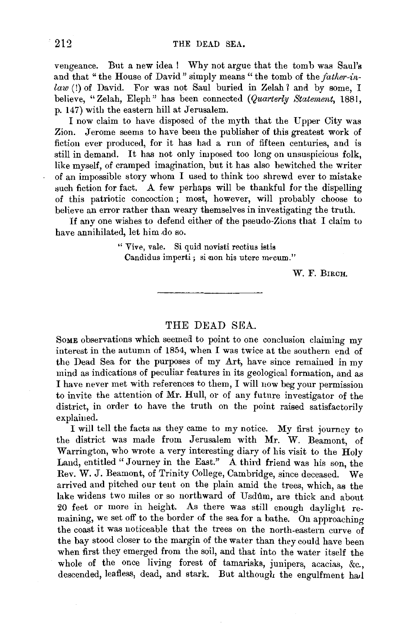vengeance. But a new idea! Why not argue that the tomb was Saul's and that " the House of David" simply means " the tomb of the *father-in* $law$  (!) of David. For was not Saul buried in Zelah ? and by some, I believe, "Zelah, Eleph" has been connected *(Quarterly Statement,* 1881, p. 147) with the eastern hill at Jerusalem.

I now claim to have disposed of the myth that the Upper City was Zion. Jerome seems to have been the publisher of this greatest work of fiction ever produced, for it has had a run of fifteen centuries, and is still in demand. It has not only imposed too long on nnsuspicions folk, like myself, of cramped imagination, but it has also bewitched the writer of an impossible story whom I used to think too shrewd ever to mistake such fiction for fact. A few perhaps will be thankful for the dispelling of this patriotic concoction ; most, however, will probably choose to believe an error rather than weary themselves in investigating the truth.

If any one wishes to defend either of the pseudo-Zions that I claim to have annihilated, let him do so.

> " Vive, vale. Si quid novisti rectius istis Candidus imperti ; si non his utere mecum."

> > W. F. BIRCH.

## THE DEAD SEA.

SoME observations which seemed to point to one conclusion claiming my interest in the autumn of 1854, when I was twice at the southern end of the Dead Sea for the purposes of my Art, have since remained in my mind as indications of peculiar features in its geological formation, and as I have never met with references to them, I will now beg your permission to invite the attention of Mr. Hull, or of any future investigator of the district, in order to have the truth on the point raised satisfactorily explained.

I will tell the facts as they came to my notice. My first journey to the district was made from Jerusalem with Mr. W. Beamont, of Warrington, who wrote a very interesting diary of his visit to the Holy Land, entitled "Journey in the East." A third friend was his son, the Rev. W. J. Beamont, of Trinity College, Cambridge, since deceased. We arrived and pitched our tent on the plain amid the trees, which, as the lake widens two miles or so northward of Usdûm, are thick and about 20 feet or more in height. As there was still enough daylight remaining, we set off to the border of the sea for a bathe. On approaching the coast it was noticeable that the trees on the north-eastern curve of the bay stood closer to the margin of the water than they could have been when first they emerged from the soil, and that into the water itself the whole of the once living forest of tamarisks, junipers, acacias, &c., descended, leafless, dead, and stark. But although the engulfment had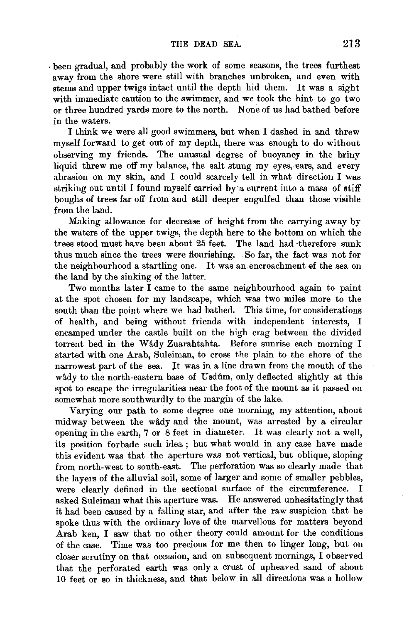. been gradual, and probably the work of some seasons, the trees furthest away from the shore were still with branches unbroken, and even with stems and upper twigs intact until the depth hid them. It was a sight with immediate caution to the swimmer, and we took the hint to go two or three hundred yards more to the north. None of us had bathed before in the waters.

I think we were all good swimmers, but when I dashed in and threw myself forward to get out of my depth, there was enough to do without observing my friends. The unusual degree of buoyancy in the briny liquid threw me off my balance, the salt stung my eyes, ears, and every abrasion on my skin, and I could scarcely tell in what direction I was striking out until I found myself carried by'a current into a mass of stiff boughs of trees far off from and still deeper engulfed than those visible from the land.

Making allowance for decrease of height from the carrying away by the waters of the upper twigs, the depth here to the bottom on which the trees stood must have been about 25 feet. The land had therefore sunk thus much since the trees were flourishing. So far, the fact was not for the neighbourhood a startling one. It was an encroachment of the sea on the land by the sinking of the latter.

Two months later I came to the same neighbourhood again to paint at the spot chosen for my landscape, which was two miles more to the south than the point where we had bathed. This time, for considerations of health, and being without friends with independent interests, I encamped under the castle built on the high crag between the divided torrent bed in the Wady Zuarahtahta. Before sunrise each morning I started with one Arab, Suleiman, to cross the plain to the shore of the narrowest part of the sea. Jt was in a line drawn from the mouth of the wâdy to the north-eastern base of Usdûm, only deflected slightly at this spot to escape the irregularities near the foot of the mount as it passed on somewhat more southwardly to the margin of the lake.

Varying our path to some degree one morning, my attention, about midway between the wady and the mount, was arrested by a circular opening in the earth, 7 or 8 feet in diameter. It was clearly not a well, its position forbade such idea ; but what would in any case have made this evident was that the aperture was not vertical, but oblique, sloping from north-west to south-east. The perforation was so clearly made that the layers of the alluvial soil, some of larger and some of smaller pebbles, were clearly defined in the sectional surface of the circumference. I asked Suleiman what this aperture was. He answered unhesitatingly that it had been caused by a falling star, and after the raw suspicion that he spoke thus with the ordinary love of the marvellous for matters beyond Arab ken, I saw that no other theory could amount for the conditions of the case. Time was too precious for me then to linger long, but on closer scrutiny on that occasion, and on subsequent mornings, I observed that the perforated earth was only a crust of upheaved sand of about 10 feet or so in thickness, and that below in all directions was a hollow